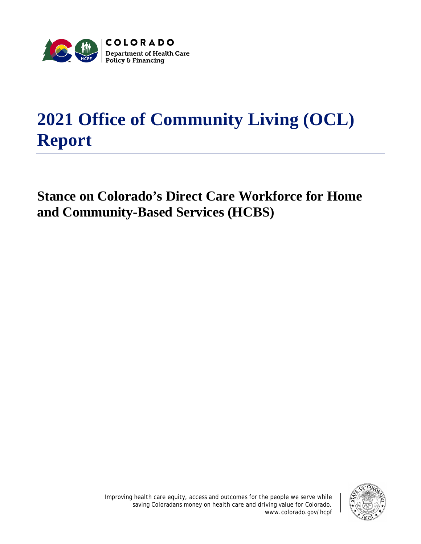

## **2021 Office of Community Living (OCL) Report**

## **Stance on Colorado's Direct Care Workforce for Home and Community-Based Services (HCBS)**



Improving health care equity, access and outcomes for the people we serve while saving Coloradans money on health care and driving value for Colorado. www.colorado.gov/hcpf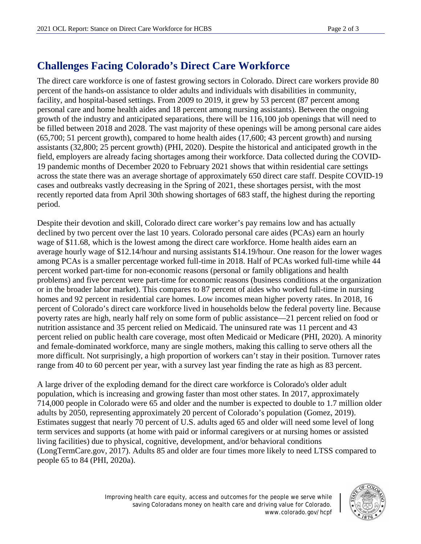## **Challenges Facing Colorado's Direct Care Workforce**

The direct care workforce is one of fastest growing sectors in Colorado. Direct care workers provide 80 percent of the hands-on assistance to older adults and individuals with disabilities in community, facility, and hospital-based settings. From 2009 to 2019, it grew by 53 percent (87 percent among personal care and home health aides and 18 percent among nursing assistants). Between the ongoing growth of the industry and anticipated separations, there will be 116,100 job openings that will need to be filled between 2018 and 2028. The vast majority of these openings will be among personal care aides (65,700; 51 percent growth), compared to home health aides (17,600; 43 percent growth) and nursing assistants (32,800; 25 percent growth) (PHI, 2020). Despite the historical and anticipated growth in the field, employers are already facing shortages among their workforce. Data collected during the COVID-19 pandemic months of December 2020 to February 2021 shows that within residential care settings across the state there was an average shortage of approximately 650 direct care staff. Despite COVID-19 cases and outbreaks vastly decreasing in the Spring of 2021, these shortages persist, with the most recently reported data from April 30th showing shortages of 683 staff, the highest during the reporting period.

Despite their devotion and skill, Colorado direct care worker's pay remains low and has actually declined by two percent over the last 10 years. Colorado personal care aides (PCAs) earn an hourly wage of \$11.68, which is the lowest among the direct care workforce. Home health aides earn an average hourly wage of \$12.14/hour and nursing assistants \$14.19/hour. One reason for the lower wages among PCAs is a smaller percentage worked full-time in 2018. Half of PCAs worked full-time while 44 percent worked part-time for non-economic reasons (personal or family obligations and health problems) and five percent were part-time for economic reasons (business conditions at the organization or in the broader labor market). This compares to 87 percent of aides who worked full-time in nursing homes and 92 percent in residential care homes. Low incomes mean higher poverty rates. In 2018, 16 percent of Colorado's direct care workforce lived in households below the federal poverty line. Because poverty rates are high, nearly half rely on some form of public assistance—21 percent relied on food or nutrition assistance and 35 percent relied on Medicaid. The uninsured rate was 11 percent and 43 percent relied on public health care coverage, most often Medicaid or Medicare (PHI, 2020). A minority and female-dominated workforce, many are single mothers, making this calling to serve others all the more difficult. Not surprisingly, a high proportion of workers can't stay in their position. Turnover rates range from 40 to 60 percent per year, with a survey last year finding the rate as high as 83 percent.

A large driver of the exploding demand for the direct care workforce is Colorado's older adult population, which is increasing and growing faster than most other states. In 2017, approximately 714,000 people in Colorado were 65 and older and the number is expected to double to 1.7 million older adults by 2050, representing approximately 20 percent of Colorado's population (Gomez, 2019). Estimates suggest that nearly 70 percent of U.S. adults aged 65 and older will need some level of long term services and supports (at home with paid or informal caregivers or at nursing homes or assisted living facilities) due to physical, cognitive, development, and/or behavioral conditions (LongTermCare.gov, 2017). Adults 85 and older are four times more likely to need LTSS compared to people 65 to 84 (PHI, 2020a).